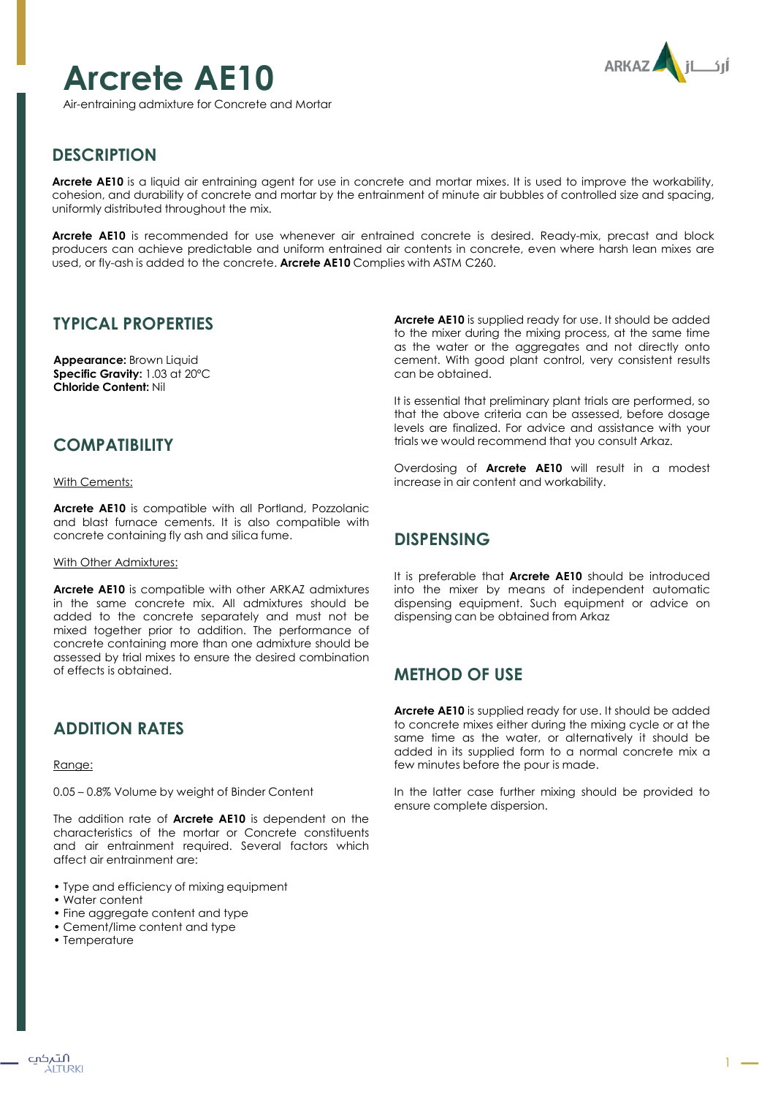# **Arcrete AE10**



Air-entraining admixture for Concrete and Mortar

# **DESCRIPTION**

**Arcrete AE10** is a liquid air entraining agent for use in concrete and mortar mixes. It is used to improve the workability, cohesion, and durability of concrete and mortar by the entrainment of minute air bubbles of controlled size and spacing, uniformly distributed throughout the mix.

**Arcrete AE10** is recommended for use whenever air entrained concrete is desired. Ready-mix, precast and block producers can achieve predictable and uniform entrained air contents in concrete, even where harsh lean mixes are used, or fly-ash is added to the concrete. **Arcrete AE10** Complies with ASTM C260.

## **TYPICAL PROPERTIES**

**Appearance:** Brown Liquid **Specific Gravity:** 1.03 at 20ºC **Chloride Content:** Nil

### **COMPATIBILITY**

#### With Cements:

**Arcrete AE10** is compatible with all Portland, Pozzolanic and blast furnace cements. It is also compatible with concrete containing fly ash and silica fume.

#### With Other Admixtures:

**Arcrete AE10** is compatible with other ARKAZ admixtures in the same concrete mix. All admixtures should be added to the concrete separately and must not be mixed together prior to addition. The performance of concrete containing more than one admixture should be assessed by trial mixes to ensure the desired combination of effects is obtained.

# **ADDITION RATES**

#### Range:

0.05 – 0.8% Volume by weight of Binder Content

The addition rate of **Arcrete AE10** is dependent on the characteristics of the mortar or Concrete constituents and air entrainment required. Several factors which affect air entrainment are:

- Type and efficiency of mixing equipment
- Water content
- Fine aggregate content and type
- Cement/lime content and type
- Temperature

**Arcrete AE10** is supplied ready for use. It should be added to the mixer during the mixing process, at the same time as the water or the aggregates and not directly onto cement. With good plant control, very consistent results can be obtained.

It is essential that preliminary plant trials are performed, so that the above criteria can be assessed, before dosage levels are finalized. For advice and assistance with your trials we would recommend that you consult Arkaz.

Overdosing of **Arcrete AE10** will result in a modest increase in air content and workability.

# **DISPENSING**

It is preferable that **Arcrete AE10** should be introduced into the mixer by means of independent automatic dispensing equipment. Such equipment or advice on dispensing can be obtained from Arkaz

## **METHOD OF USE**

**Arcrete AE10** is supplied ready for use. It should be added to concrete mixes either during the mixing cycle or at the same time as the water, or alternatively it should be added in its supplied form to a normal concrete mix a few minutes before the pour is made.

In the latter case further mixing should be provided to ensure complete dispersion.